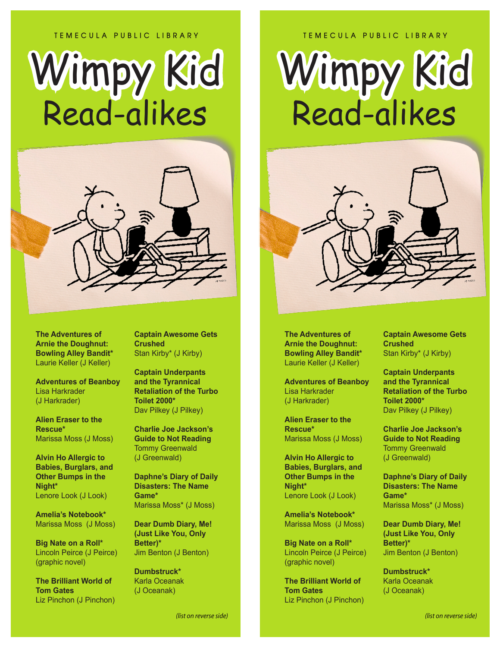## **TEMECULA PUBLIC LIBRARY**

## Wimpy Kid Wimpy KidRead-alikes



**The Adventures of Arnie the Doughnut: Bowling Alley Bandit\*** Laurie Keller (J Keller)

**Adventures of Beanboy** Lisa Harkrader (J Harkrader)

**Alien Eraser to the Rescue\*** Marissa Moss (J Moss)

**Alvin Ho Allergic to Babies, Burglars, and Other Bumps in the Night\*** Lenore Look (J Look)

**Amelia's Notebook\*** Marissa Moss (J Moss)

**Big Nate on a Roll\*** Lincoln Peirce (J Peirce) (graphic novel)

**The Brilliant World of Tom Gates** Liz Pinchon (J Pinchon) **Captain Awesome Gets Crushed** Stan Kirby\* (J Kirby)

**Captain Underpants and the Tyrannical Retaliation of the Turbo Toilet 2000\*** Dav Pilkey (J Pilkey)

**Charlie Joe Jackson's Guide to Not Reading** Tommy Greenwald (J Greenwald)

**Daphne's Diary of Daily Disasters: The Name Game\***  Marissa Moss\* (J Moss)

**Dear Dumb Diary, Me! (Just Like You, Only Better)\***  Jim Benton (J Benton)

**Dumbstruck\***  Karla Oceanak (J Oceanak)

## **TEMECULA PUBLIC LIBRARY**

## Wimpy Kid Wimpy KidRead-alikes



**The Adventures of Arnie the Doughnut: Bowling Alley Bandit\*** Laurie Keller (J Keller)

**Adventures of Beanboy** Lisa Harkrader (J Harkrader)

**Alien Eraser to the Rescue\*** Marissa Moss (J Moss)

**Alvin Ho Allergic to Babies, Burglars, and Other Bumps in the Night\*** Lenore Look (J Look)

**Amelia's Notebook\*** Marissa Moss (J Moss)

**Big Nate on a Roll\*** Lincoln Peirce (J Peirce) (graphic novel)

**The Brilliant World of Tom Gates** Liz Pinchon (J Pinchon) **Captain Awesome Gets Crushed** Stan Kirby\* (J Kirby)

**Captain Underpants and the Tyrannical Retaliation of the Turbo Toilet 2000\*** Dav Pilkey (J Pilkey)

**Charlie Joe Jackson's Guide to Not Reading** Tommy Greenwald (J Greenwald)

**Daphne's Diary of Daily Disasters: The Name Game\***  Marissa Moss\* (J Moss)

**Dear Dumb Diary, Me! (Just Like You, Only Better)\***  Jim Benton (J Benton)

**Dumbstruck\***  Karla Oceanak (J Oceanak)